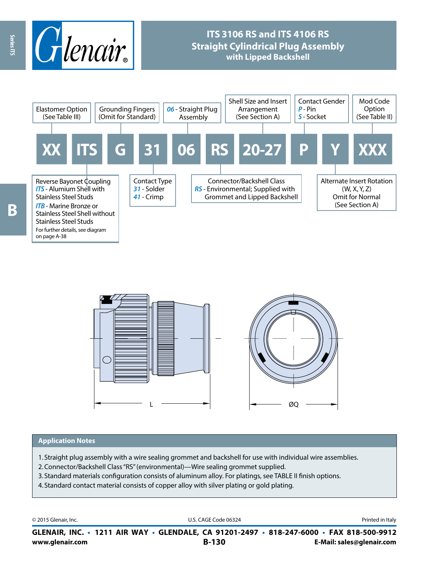

# **ITS 3106 RS and ITS 4106 RS Straight Cylindrical Plug Assembly with Lipped Backshell**





#### **Application Notes**

- 1. Straight plug assembly with a wire sealing grommet and backshell for use with individual wire assemblies.
- 2.Connector/Backshell Class "RS" (environmental)—Wire sealing grommet supplied.
- 3. Standard materials configuration consists of aluminum alloy. For platings, see TABLE II finish options.
- 4. Standard contact material consists of copper alloy with silver plating or gold plating.

© 2015 Glenair, Inc. **Discription Construction Construction Construction Construction Construction Construction Construction Construction Construction Construction Construction Construction Construction Construction Constr** 

**www.glenair.com B-130 E-Mail: sales@glenair.com GLENAIR, INC. • 1211 AIR WAY • GLENDALE, CA 91201-2497 • 818-247-6000 • FAX 818-500-9912**

Series ITS

on page A-38